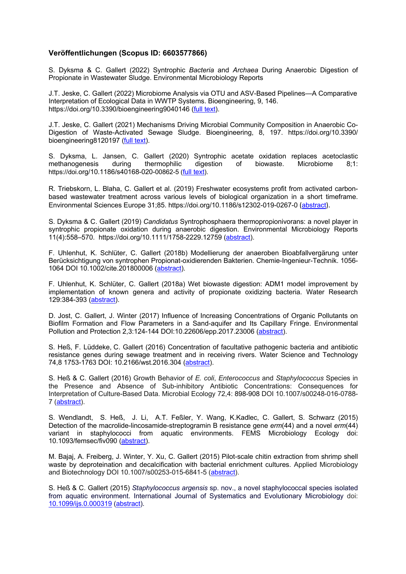## **Veröffentlichungen (Scopus ID: 6603577866)**

S. Dyksma & C. Gallert (2022) Syntrophic *Bacteria* and *Archaea* During Anaerobic Digestion of Propionate in Wastewater Sludge. Environmental Microbiology Reports

J.T. Jeske, C. Gallert (2022) Microbiome Analysis via OTU and ASV-Based Pipelines—A Comparative Interpretation of Ecological Data in WWTP Systems. Bioengineering, 9, 146. https://doi.org/10.3390/bioengineering9040146 (full text).

J.T. Jeske, C. Gallert (2021) Mechanisms Driving Microbial Community Composition in Anaerobic Co-Digestion of Waste-Activated Sewage Sludge. Bioengineering, 8, 197. https://doi.org/10.3390/ bioengineering8120197 (full text).

S. Dyksma, L. Jansen, C. Gallert (2020) Syntrophic acetate oxidation replaces acetoclastic methanogenesis during thermophilic digestion of https://doi.org/10.1186/s40168-020-00862-5 (full text).

R. Triebskorn, L. Blaha, C. Gallert et al. (2019) Freshwater ecosystems profit from activated carbonbased wastewater treatment across various levels of biological organization in a short timeframe. Environmental Sciences Europe 31;85. https://doi.org/10.1186/s12302-019-0267-0 (abstract).

S. Dyksma & C. Gallert (2019) *Candidatus* Syntrophosphaera thermopropionivorans: a novel player in syntrophic propionate oxidation during anaerobic digestion. Environmental Microbiology Reports 11(4):558–570. https://doi.org/10.1111/1758-2229.12759 (abstract).

F. Uhlenhut, K. Schlüter, C. Gallert (2018b) Modellierung der anaeroben Bioabfallvergärung unter Berücksichtigung von syntrophen Propionat-oxidierenden Bakterien. Chemie-Ingenieur-Technik. 1056- 1064 DOI 10.1002/cite.201800006 (abstract).

F. Uhlenhut, K. Schlüter, C. Gallert (2018a) Wet biowaste digestion: ADM1 model improvement by implementation of known genera and activity of propionate oxidizing bacteria. Water Research 129:384-393 (abstract).

D. Jost, C. Gallert, J. Winter (2017) Influence of Increasing Concentrations of Organic Pollutants on Biofilm Formation and Flow Parameters in a Sand-aquifer and Its Capillary Fringe. Environmental Pollution and Protection 2,3:124-144 DOI:10.22606/epp.2017.23006 (abstract).

S. Heß, F. Lüddeke, C. Gallert (2016) Concentration of facultative pathogenic bacteria and antibiotic resistance genes during sewage treatment and in receiving rivers. Water Science and Technology 74,8 1753-1763 DOI: 10.2166/wst.2016.304 (abstract).

S. Heß & C. Gallert (2016) Growth Behavior of *E. coli*, *Enterococcus* and *Staphylococcus* Species in the Presence and Absence of Sub-inhibitory Antibiotic Concentrations: Consequences for Interpretation of Culture-Based Data. Microbial Ecology 72,4: 898-908 DOI 10.1007/s00248-016-0788- 7 (abstract).

S. Wendlandt, S. Heß, J. Li, A.T. Feßler, Y. Wang, K.Kadlec, C. Gallert, S. Schwarz (2015) Detection of the macrolide-lincosamide-streptogramin B resistance gene *erm*(44) and a novel *erm*(44) variant in staphylococci from aquatic environments. FEMS Microbiology Ecology doi: 10.1093/femsec/fiv090 (abstract).

M. Bajaj, A. Freiberg, J. Winter, Y. Xu, C. Gallert (2015) Pilot-scale chitin extraction from shrimp shell waste by deproteination and decalcification with bacterial enrichment cultures. Applied Microbiology and Biotechnology DOI 10.1007/s00253-015-6841-5 (abstract).

S. Heß & C. Gallert (2015) *Staphylococcus argensis* sp. nov., a novel staphylococcal species isolated from aquatic environment. International Journal of Systematics and Evolutionary Microbiology doi: 10.1099/ijs.0.000319 (abstract).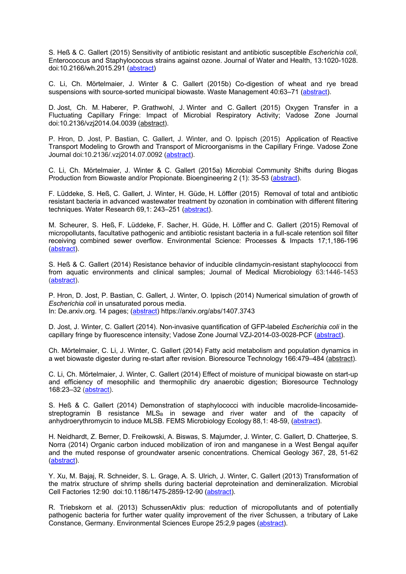S. Heß & C. Gallert (2015) Sensitivity of antibiotic resistant and antibiotic susceptible *Escherichia coli*, Enterococcus and Staphylococcus strains against ozone. Journal of Water and Health, 13:1020-1028. doi:10.2166/wh.2015.291 (abstract)

C. Li, Ch. Mörtelmaier, J. Winter & C. Gallert (2015b) Co-digestion of wheat and rye bread suspensions with source-sorted municipal biowaste. Waste Management 40:63–71 (abstract).

D. Jost, Ch. M. Haberer, P. Grathwohl, J. Winter and C. Gallert (2015) Oxygen Transfer in a Fluctuating Capillary Fringe: Impact of Microbial Respiratory Activity; Vadose Zone Journal doi:10.2136/vzj2014.04.0039 (abstract).

P. Hron, D. Jost, P. Bastian, C. Gallert, J. Winter, and O. Ippisch (2015) Application of Reactive Transport Modeling to Growth and Transport of Microorganisms in the Capillary Fringe. Vadose Zone Journal doi:10.2136/.vzj2014.07.0092 (abstract).

C. Li, Ch. Mörtelmaier, J. Winter & C. Gallert (2015a) Microbial Community Shifts during Biogas Production from Biowaste and/or Propionate. Bioengineering 2 (1): 35-53 (abstract).

F. Lüddeke, S. Heß, C. Gallert, J. Winter, H. Güde, H. Löffler (2015) Removal of total and antibiotic resistant bacteria in advanced wastewater treatment by ozonation in combination with different filtering techniques. Water Research 69,1: 243–251 (abstract).

M. Scheurer, S. Heß, F. Lüddeke, F. Sacher, H. Güde, H. Löffler and C. Gallert (2015) Removal of micropollutants, facultative pathogenic and antibiotic resistant bacteria in a full-scale retention soil filter receiving combined sewer overflow. Environmental Science: Processes & Impacts 17;1,186-196 (abstract).

S. Heß & C. Gallert (2014) Resistance behavior of inducible clindamycin-resistant staphylococci from from aquatic environments and clinical samples; Journal of Medical Microbiology 63:1446-1453 (abstract).

P. Hron, D. Jost, P. Bastian, C. Gallert, J. Winter, O. Ippisch (2014) Numerical simulation of growth of *Escherichia coli* in unsaturated porous media. In: De.arxiv.org. 14 pages; (abstract) https://arxiv.org/abs/1407.3743

D. Jost, J. Winter, C. Gallert (2014). Non-invasive quantification of GFP-labeled *Escherichia coli* in the capillary fringe by fluorescence intensity; Vadose Zone Journal VZJ-2014-03-0028-PCF (abstract).

Ch. Mörtelmaier, C. Li, J. Winter, C. Gallert (2014) Fatty acid metabolism and population dynamics in a wet biowaste digester during re-start after revision. Bioresource Technology 166:479–484 (abstract).

C. Li, Ch. Mörtelmaier, J. Winter, C. Gallert (2014) Effect of moisture of municipal biowaste on start-up and efficiency of mesophilic and thermophilic dry anaerobic digestion; Bioresource Technology 168:23–32 (abstract).

S. Heß & C. Gallert (2014) Demonstration of staphylococci with inducible macrolide-lincosamidestreptogramin B resistance  $MLS<sub>B</sub>$  in sewage and river water and of the capacity of anhydroerythromycin to induce MLSB. FEMS Microbiology Ecology 88,1: 48-59, (abstract).

H. Neidhardt, Z. Berner, D. Freikowski, A. Biswas, S. Majumder, J. Winter, C. Gallert, D. Chatterjee, S. Norra (2014) Organic carbon induced mobilization of iron and manganese in a West Bengal aquifer and the muted response of groundwater arsenic concentrations. Chemical Geology 367, 28, 51-62 (abstract).

Y. Xu, M. Bajaj, R. Schneider, S. L. Grage, A. S. Ulrich, J. Winter, C. Gallert (2013) Transformation of the matrix structure of shrimp shells during bacterial deproteination and demineralization. Microbial Cell Factories 12:90 doi:10.1186/1475-2859-12-90 (abstract).

R. Triebskorn et al. (2013) SchussenAktiv plus: reduction of micropollutants and of potentially pathogenic bacteria for further water quality improvement of the river Schussen, a tributary of Lake Constance, Germany. Environmental Sciences Europe 25:2,9 pages (abstract).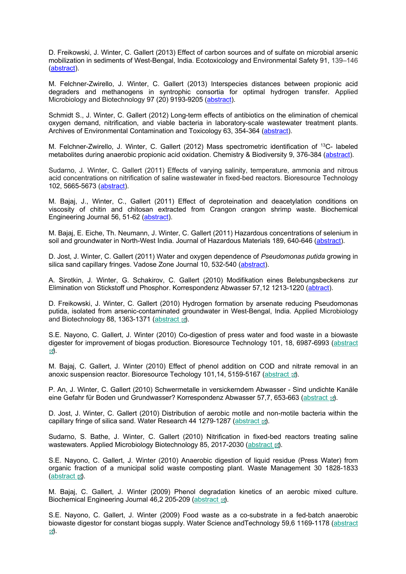D. Freikowski, J. Winter, C. Gallert (2013) Effect of carbon sources and of sulfate on microbial arsenic mobilization in sediments of West-Bengal, India. Ecotoxicology and Environmental Safety 91, 139–146 (abstract).

M. Felchner-Zwirello, J. Winter, C. Gallert (2013) Interspecies distances between propionic acid degraders and methanogens in syntrophic consortia for optimal hydrogen transfer. Applied Microbiology and Biotechnology 97 (20) 9193-9205 (abstract).

Schmidt S., J. Winter, C. Gallert (2012) Long-term effects of antibiotics on the elimination of chemical oxygen demand, nitrification, and viable bacteria in laboratory-scale wastewater treatment plants. Archives of Environmental Contamination and Toxicology 63, 354-364 (abstract).

M. Felchner-Zwirello, J. Winter, C. Gallert (2012) Mass spectrometric identification of 13C- labeled metabolites during anaerobic propionic acid oxidation. Chemistry & Biodiversity 9, 376-384 (abstract).

Sudarno, J. Winter, C. Gallert (2011) Effects of varying salinity, temperature, ammonia and nitrous acid concentrations on nitrification of saline wastewater in fixed-bed reactors. Bioresource Technology 102, 5665-5673 (abstract).

M. Bajaj, J., Winter, C., Gallert (2011) Effect of deproteination and deacetylation conditions on viscosity of chitin and chitosan extracted from Crangon crangon shrimp waste. Biochemical Engineering Journal 56, 51-62 (abstract).

M. Bajaj, E. Eiche, Th. Neumann, J. Winter, C. Gallert (2011) Hazardous concentrations of selenium in soil and groundwater in North-West India. Journal of Hazardous Materials 189, 640-646 (abstract).

D. Jost, J. Winter, C. Gallert (2011) Water and oxygen dependence of *Pseudomonas putida* growing in silica sand capillary fringes. Vadose Zone Journal 10, 532-540 (abstract).

A. Sirotkin, J. Winter, G. Schakirov, C. Gallert (2010) Modifikation eines Belebungsbeckens zur Elimination von Stickstoff und Phosphor. Korrespondenz Abwasser 57,12 1213-1220 (abtract).

D. Freikowski, J. Winter, C. Gallert (2010) Hydrogen formation by arsenate reducing Pseudomonas putida, isolated from arsenic-contaminated groundwater in West-Bengal, India. Applied Microbiology and Biotechnology 88, 1363-1371 (abstract a).

S.E. Nayono, C. Gallert, J. Winter (2010) Co-digestion of press water and food waste in a biowaste digester for improvement of biogas production. Bioresource Technology 101, 18, 6987-6993 (abstract ).

M. Bajaj, C. Gallert, J. Winter (2010) Effect of phenol addition on COD and nitrate removal in an anoxic suspension reactor. Bioresource Techology 101,14, 5159-5167 (abstract al.

P. An, J. Winter, C. Gallert (2010) Schwermetalle in versickerndem Abwasser - Sind undichte Kanäle eine Gefahr für Boden und Grundwasser? Korrespondenz Abwasser 57,7, 653-663 (abstract a).

D. Jost, J. Winter, C. Gallert (2010) Distribution of aerobic motile and non-motile bacteria within the capillary fringe of silica sand. Water Research 44 1279-1287 (abstract a).

Sudarno, S. Bathe, J. Winter, C. Gallert (2010) Nitrification in fixed-bed reactors treating saline wastewaters. Applied Microbiology Biotechnology 85, 2017-2030 (abstract  $\boxtimes$ ).

S.E. Nayono, C. Gallert, J. Winter (2010) Anaerobic digestion of liquid residue (Press Water) from organic fraction of a municipal solid waste composting plant. Waste Management 30 1828-1833 (abstract  $\mathbb{Z}$ ).

M. Bajaj, C. Gallert, J. Winter (2009) Phenol degradation kinetics of an aerobic mixed culture. Biochemical Engineering Journal 46,2 205-209 (abstract a).

S.E. Nayono, C. Gallert, J. Winter (2009) Food waste as a co-substrate in a fed-batch anaerobic biowaste digestor for constant biogas supply. Water Science andTechnology 59,6 1169-1178 (abstract ).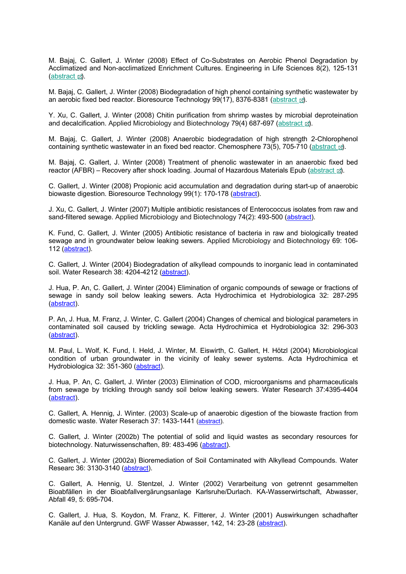M. Bajaj, C. Gallert, J. Winter (2008) Effect of Co-Substrates on Aerobic Phenol Degradation by Acclimatized and Non-acclimatized Enrichment Cultures. Engineering in Life Sciences 8(2), 125-131 (abstract  $\mathbb{Z}$ ).

M. Bajaj, C. Gallert, J. Winter (2008) Biodegradation of high phenol containing synthetic wastewater by an aerobic fixed bed reactor. Bioresource Technology 99(17), 8376-8381 (abstract  $\mathbb{B}$ ).

Y. Xu, C. Gallert, J. Winter (2008) Chitin purification from shrimp wastes by microbial deproteination and decalcification. Applied Microbiology and Biotechnology 79(4) 687-697 (abstract  $\mathbb{E}$ ).

M. Bajaj, C. Gallert, J. Winter (2008) Anaerobic biodegradation of high strength 2-Chlorophenol containing synthetic wastewater in an fixed bed reactor. Chemosphere 73(5), 705-710 (abstract  $\alpha$ ).

M. Bajaj, C. Gallert, J. Winter (2008) Treatment of phenolic wastewater in an anaerobic fixed bed reactor (AFBR) – Recovery after shock loading. Journal of Hazardous Materials Epub (abstract  $\vec{m}$ ).

C. Gallert, J. Winter (2008) Propionic acid accumulation and degradation during start-up of anaerobic biowaste digestion. Bioresource Technology 99(1): 170-178 (abstract).

J. Xu, C. Gallert, J. Winter (2007) Multiple antibiotic resistances of Enterococcus isolates from raw and sand-filtered sewage. Applied Microbiology and Biotechnology 74(2): 493-500 (abstract).

K. Fund, C. Gallert, J. Winter (2005) Antibiotic resistance of bacteria in raw and biologically treated sewage and in groundwater below leaking sewers. Applied Microbiology and Biotechnology 69: 106- 112 (abstract).

C. Gallert, J. Winter (2004) Biodegradation of alkyllead compounds to inorganic lead in contaminated soil. Water Research 38: 4204-4212 (abstract).

J. Hua, P. An, C. Gallert, J. Winter (2004) Elimination of organic compounds of sewage or fractions of sewage in sandy soil below leaking sewers. Acta Hydrochimica et Hydrobiologica 32: 287-295 (abstract).

P. An, J. Hua, M. Franz, J. Winter, C. Gallert (2004) Changes of chemical and biological parameters in contaminated soil caused by trickling sewage. Acta Hydrochimica et Hydrobiologica 32: 296-303 (abstract).

M. Paul, L. Wolf, K. Fund, I. Held, J. Winter, M. Eiswirth, C. Gallert, H. Hötzl (2004) Microbiological condition of urban groundwater in the vicinity of leaky sewer systems. Acta Hydrochimica et Hydrobiologica 32: 351-360 (abstract).

J. Hua, P. An, C. Gallert, J. Winter (2003) Elimination of COD, microorganisms and pharmaceuticals from sewage by trickling through sandy soil below leaking sewers. Water Research 37:4395-4404 (abstract).

C. Gallert, A. Hennig, J. Winter. (2003) Scale-up of anaerobic digestion of the biowaste fraction from domestic waste. Water Reserach 37: 1433-1441 (abstract).

C. Gallert, J. Winter (2002b) The potential of solid and liquid wastes as secondary resources for biotechnology. Naturwissenschaften, 89: 483-496 (abstract).

C. Gallert, J. Winter (2002a) Bioremediation of Soil Contaminated with Alkyllead Compounds. Water Researc 36: 3130-3140 (abstract).

C. Gallert, A. Hennig, U. Stentzel, J. Winter (2002) Verarbeitung von getrennt gesammelten Bioabfällen in der Bioabfallvergärungsanlage Karlsruhe/Durlach. KA-Wasserwirtschaft, Abwasser, Abfall 49, 5: 695-704.

C. Gallert, J. Hua, S. Koydon, M. Franz, K. Fitterer, J. Winter (2001) Auswirkungen schadhafter Kanäle auf den Untergrund. GWF Wasser Abwasser, 142, 14: 23-28 (abstract).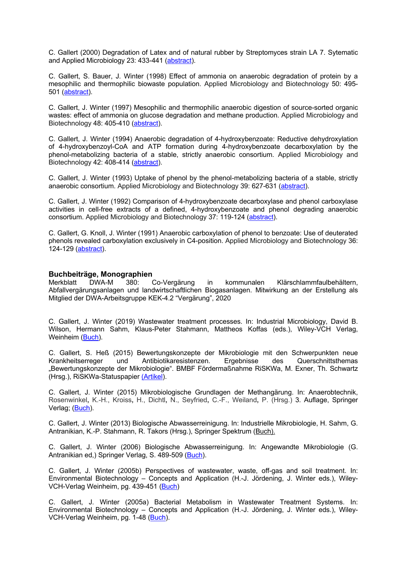C. Gallert (2000) Degradation of Latex and of natural rubber by Streptomyces strain LA 7. Sytematic and Applied Microbiology 23: 433-441 (abstract).

C. Gallert, S. Bauer, J. Winter (1998) Effect of ammonia on anaerobic degradation of protein by a mesophilic and thermophilic biowaste population. Applied Microbiology and Biotechnology 50: 495- 501 (abstract).

C. Gallert, J. Winter (1997) Mesophilic and thermophilic anaerobic digestion of source-sorted organic wastes: effect of ammonia on glucose degradation and methane production. Applied Microbiology and Biotechnology 48: 405-410 (abstract).

C. Gallert, J. Winter (1994) Anaerobic degradation of 4-hydroxybenzoate: Reductive dehydroxylation of 4-hydroxybenzoyl-CoA and ATP formation during 4-hydroxybenzoate decarboxylation by the phenol-metabolizing bacteria of a stable, strictly anaerobic consortium. Applied Microbiology and Biotechnology 42: 408-414 (abstract).

C. Gallert, J. Winter (1993) Uptake of phenol by the phenol-metabolizing bacteria of a stable, strictly anaerobic consortium. Applied Microbiology and Biotechnology 39: 627-631 (abstract).

C. Gallert, J. Winter (1992) Comparison of 4-hydroxybenzoate decarboxylase and phenol carboxylase activities in cell-free extracts of a defined, 4-hydroxybenzoate and phenol degrading anaerobic consortium. Applied Microbiology and Biotechnology 37: 119-124 (abstract).

C. Gallert, G. Knoll, J. Winter (1991) Anaerobic carboxylation of phenol to benzoate: Use of deuterated phenols revealed carboxylation exclusively in C4-position. Applied Microbiology and Biotechnology 36: 124-129 (abstract).

## **Buchbeiträge, Monographien**

Merkblatt DWA-M 380: Co-Vergärung in kommunalen Klärschlammfaulbehältern, Abfallvergärungsanlagen und landwirtschaftlichen Biogasanlagen. Mitwirkung an der Erstellung als Mitglied der DWA-Arbeitsgruppe KEK-4.2 "Vergärung", 2020

C. Gallert, J. Winter (2019) Wastewater treatment processes. In: Industrial Microbiology, David B. Wilson, Hermann Sahm, Klaus-Peter Stahmann, Mattheos Koffas (eds.), Wiley-VCH Verlag, Weinheim (Buch).

C. Gallert, S. Heß (2015) Bewertungskonzepte der Mikrobiologie mit den Schwerpunkten neue Krankheitserreger und Antibiotikaresistenzen. Ergebnisse des Querschnittsthemas "Bewertungskonzepte der Mikrobiologie". BMBF Fördermaßnahme RiSKWa, M. Exner, Th. Schwartz (Hrsg.), RiSKWa-Statuspapier (Artikel).

C. Gallert, J. Winter (2015) Mikrobiologische Grundlagen der Methangärung. In: Anaerobtechnik, Rosenwinkel**,** K.-H., Kroiss**,** H., Dichtl**,** N., Seyfried**,** C.-F., Weiland**,** P. (Hrsg.) 3. Auflage, Springer Verlag; (Buch).

C. Gallert, J. Winter (2013) Biologische Abwasserreinigung. In: Industrielle Mikrobiologie, H. Sahm, G. Antranikian, K.-P. Stahmann, R. Takors (Hrsg.), Springer Spektrum (Buch).

C. Gallert, J. Winter (2006) Biologische Abwasserreinigung. In: Angewandte Mikrobiologie (G. Antranikian ed,) Springer Verlag, S. 489-509 (Buch).

C. Gallert, J. Winter (2005b) Perspectives of wastewater, waste, off-gas and soil treatment. In: Environmental Biotechnology – Concepts and Application (H.-J. Jördening, J. Winter eds.), Wiley-VCH-Verlag Weinheim, pg. 439-451 (Buch)

C. Gallert, J. Winter (2005a) Bacterial Metabolism in Wastewater Treatment Systems. In: Environmental Biotechnology – Concepts and Application (H.-J. Jördening, J. Winter eds.), Wiley-VCH-Verlag Weinheim, pg. 1-48 (Buch).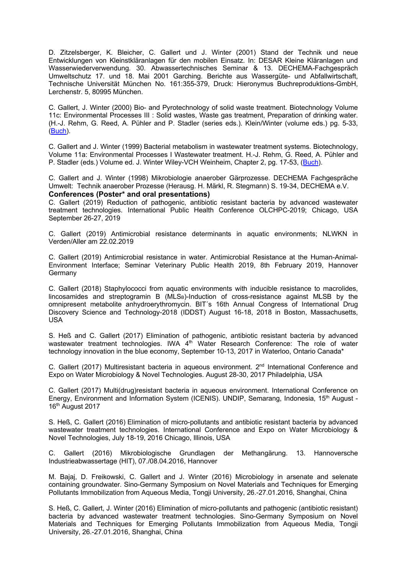D. Zitzelsberger, K. Bleicher, C. Gallert und J. Winter (2001) Stand der Technik und neue Entwicklungen von Kleinstkläranlagen für den mobilen Einsatz. In: DESAR Kleine Kläranlagen und Wasserwiederverwendung. 30. Abwassertechnisches Seminar & 13. DECHEMA-Fachgespräch Umweltschutz 17. und 18. Mai 2001 Garching. Berichte aus Wassergüte- und Abfallwirtschaft, Technische Universität München No. 161:355-379, Druck: Hieronymus Buchreproduktions-GmbH, Lerchenstr. 5, 80995 München.

C. Gallert, J. Winter (2000) Bio- and Pyrotechnology of solid waste treatment. Biotechnology Volume 11c: Environmental Processes III : Solid wastes, Waste gas treatment, Preparation of drinking water. (H.-J. Rehm, G. Reed, A. Pühler and P. Stadler (series eds.). Klein/Winter (volume eds.) pg. 5-33, (Buch).

C. Gallert and J. Winter (1999) Bacterial metabolism in wastewater treatment systems. Biotechnology, Volume 11a: Environmental Processes I Wastewater treatment. H.-J. Rehm, G. Reed, A. Pühler and P. Stadler (eds.) Volume ed. J. Winter Wiley-VCH Weinheim, Chapter 2, pg. 17-53, (Buch).

C. Gallert and J. Winter (1998) Mikrobiologie anaerober Gärprozesse. DECHEMA Fachgespräche Umwelt: Technik anaerober Prozesse (Herausg. H. Märkl, R. Stegmann) S. 19-34, DECHEMA e.V. **Conferences (Poster\* and oral presentations)**

C. Gallert (2019) Reduction of pathogenic, antibiotic resistant bacteria by advanced wastewater treatment technologies. International Public Health Conference OLCHPC-2019; Chicago, USA September 26-27, 2019

C. Gallert (2019) Antimicrobial resistance determinants in aquatic environments; NLWKN in Verden/Aller am 22.02.2019

C. Gallert (2019) Antimicrobial resistance in water. Antimicrobial Resistance at the Human-Animal-Environment Interface; Seminar Veterinary Public Health 2019, 8th February 2019, Hannover **Germany** 

C. Gallert (2018) Staphylococci from aquatic environments with inducible resistance to macrolides, lincosamides and streptogramin B (MLS<sub>B</sub>)-Induction of cross-resistance against MLSB by the omnipresent metabolite anhydroerythromycin. BIT´s 16th Annual Congress of International Drug Discovery Science and Technology-2018 (IDDST) August 16-18, 2018 in Boston, Massachusetts, USA

S. Heß and C. Gallert (2017) Elimination of pathogenic, antibiotic resistant bacteria by advanced wastewater treatment technologies. IWA 4<sup>th</sup> Water Research Conference: The role of water technology innovation in the blue economy, September 10-13, 2017 in Waterloo, Ontario Canada\*

C. Gallert (2017) Multiresistant bacteria in aqueous environment.  $2<sup>nd</sup>$  International Conference and Expo on Water Microbiology & Novel Technologies. August 28-30, 2017 Philadelphia, USA

C. Gallert (2017) Multi(drug)resistant bacteria in aqueous environment. International Conference on Energy, Environment and Information System (ICENIS). UNDIP, Semarang, Indonesia, 15<sup>th</sup> August -16th August 2017

S. Heß, C. Gallert (2016) Elimination of micro-pollutants and antibiotic resistant bacteria by advanced wastewater treatment technologies. International Conference and Expo on Water Microbiology & Novel Technologies, July 18-19, 2016 Chicago, Illinois, USA

C. Gallert (2016) Mikrobiologische Grundlagen der Methangärung. 13. Hannoversche Industrieabwassertage (HIT), 07./08.04.2016, Hannover

M. Bajaj, D. Freikowski, C. Gallert and J. Winter (2016) Microbiology in arsenate and selenate containing groundwater. Sino-Germany Symposium on Novel Materials and Techniques for Emerging Pollutants Immobilization from Aqueous Media, Tongji University, 26.-27.01.2016, Shanghai, China

S. Heß, C. Gallert, J. Winter (2016) Elimination of micro-pollutants and pathogenic (antibiotic resistant) bacteria by advanced wastewater treatment technologies. Sino-Germany Symposium on Novel Materials and Techniques for Emerging Pollutants Immobilization from Aqueous Media, Tongji University, 26.-27.01.2016, Shanghai, China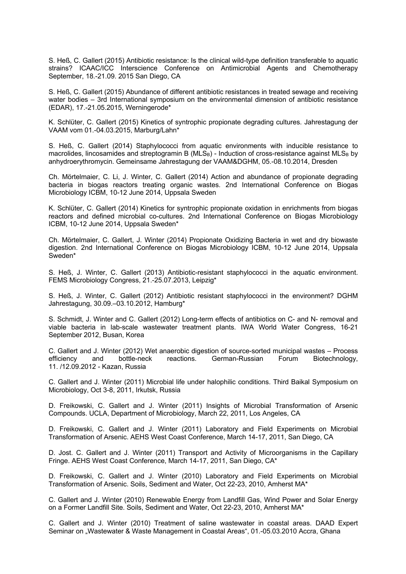S. Heß, C. Gallert (2015) Antibiotic resistance: Is the clinical wild-type definition transferable to aquatic strains? ICAAC/ICC Interscience Conference on Antimicrobial Agents and Chemotherapy September, 18.-21.09. 2015 San Diego, CA

S. Heß, C. Gallert (2015) Abundance of different antibiotic resistances in treated sewage and receiving water bodies – 3rd International symposium on the environmental dimension of antibiotic resistance (EDAR), 17.-21.05.2015, Werningerode\*

K. Schlüter, C. Gallert (2015) Kinetics of syntrophic propionate degrading cultures. Jahrestagung der VAAM vom 01.-04.03.2015, Marburg/Lahn\*

S. Heß, C. Gallert (2014) Staphylococci from aquatic environments with inducible resistance to macrolides, lincosamides and streptogramin B ( $MLS_B$ ) - Induction of cross-resistance against  $MLS_B$  by anhydroerythromycin. Gemeinsame Jahrestagung der VAAM&DGHM, 05.-08.10.2014, Dresden

Ch. Mörtelmaier, C. Li, J. Winter, C. Gallert (2014) Action and abundance of propionate degrading bacteria in biogas reactors treating organic wastes. 2nd International Conference on Biogas Microbiology ICBM, 10-12 June 2014, Uppsala Sweden

K. Schlüter, C. Gallert (2014) Kinetics for syntrophic propionate oxidation in enrichments from biogas reactors and defined microbial co-cultures. 2nd International Conference on Biogas Microbiology ICBM, 10-12 June 2014, Uppsala Sweden\*

Ch. Mörtelmaier, C. Gallert, J. Winter (2014) Propionate Oxidizing Bacteria in wet and dry biowaste digestion. 2nd International Conference on Biogas Microbiology ICBM, 10-12 June 2014, Uppsala Sweden\*

S. Heß, J. Winter, C. Gallert (2013) Antibiotic-resistant staphylococci in the aquatic environment. FEMS Microbiology Congress, 21.-25.07.2013, Leipzig\*

S. Heß, J. Winter, C. Gallert (2012) Antibiotic resistant staphylococci in the environment? DGHM Jahrestagung, 30.09.–03.10.2012, Hamburg\*

S. Schmidt, J. Winter and C. Gallert (2012) Long-term effects of antibiotics on C- and N- removal and viable bacteria in lab-scale wastewater treatment plants. IWA World Water Congress, 16-21 September 2012, Busan, Korea

C. Gallert and J. Winter (2012) Wet anaerobic digestion of source-sorted municipal wastes – Process efficiency and bottle-neck reactions. German-Russian Forum Biotechnology, 11. /12.09.2012 - Kazan, Russia

C. Gallert and J. Winter (2011) Microbial life under halophilic conditions. Third Baikal Symposium on Microbiology, Oct 3-8, 2011, Irkutsk, Russia

D. Freikowski, C. Gallert and J. Winter (2011) Insights of Microbial Transformation of Arsenic Compounds. UCLA, Department of Microbiology, March 22, 2011, Los Angeles, CA

D. Freikowski, C. Gallert and J. Winter (2011) Laboratory and Field Experiments on Microbial Transformation of Arsenic. AEHS West Coast Conference, March 14-17, 2011, San Diego, CA

D. Jost. C. Gallert and J. Winter (2011) Transport and Activity of Microorganisms in the Capillary Fringe. AEHS West Coast Conference, March 14-17, 2011, San Diego, CA\*

D. Freikowski, C. Gallert and J. Winter (2010) Laboratory and Field Experiments on Microbial Transformation of Arsenic. Soils, Sediment and Water, Oct 22-23, 2010, Amherst MA\*

C. Gallert and J. Winter (2010) Renewable Energy from Landfill Gas, Wind Power and Solar Energy on a Former Landfill Site. Soils, Sediment and Water, Oct 22-23, 2010, Amherst MA\*

C. Gallert and J. Winter (2010) Treatment of saline wastewater in coastal areas. DAAD Expert Seminar on "Wastewater & Waste Management in Coastal Areas", 01.-05.03.2010 Accra, Ghana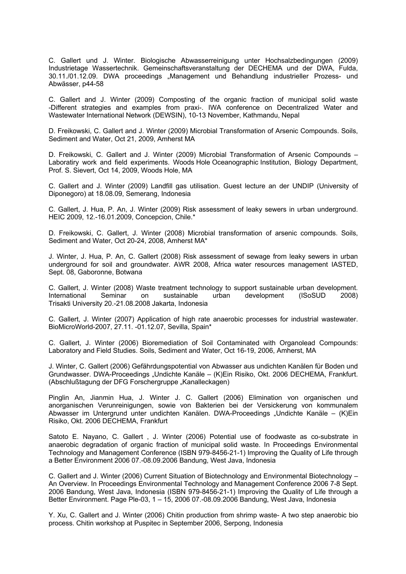C. Gallert und J. Winter. Biologische Abwasserreinigung unter Hochsalzbedingungen (2009) Industrietage Wassertechnik. Gemeinschaftsveranstaltung der DECHEMA und der DWA, Fulda, 30.11./01.12.09. DWA proceedings "Management und Behandlung industrieller Prozess- und Abwässer, p44-58

C. Gallert and J. Winter (2009) Composting of the organic fraction of municipal solid waste -Different strategies and examples from praxi-. IWA conference on Decentralized Water and Wastewater International Network (DEWSIN), 10-13 November, Kathmandu, Nepal

D. Freikowski, C. Gallert and J. Winter (2009) Microbial Transformation of Arsenic Compounds. Soils, Sediment and Water, Oct 21, 2009, Amherst MA

D. Freikowski, C. Gallert and J. Winter (2009) Microbial Transformation of Arsenic Compounds – Laboratiry work and field experiments. Woods Hole Oceanographic Institution, Biology Department, Prof. S. Sievert, Oct 14, 2009, Woods Hole, MA

C. Gallert and J. Winter (2009) Landfill gas utilisation. Guest lecture an der UNDIP (University of Diponegoro) at 18.08.09, Semerang, Indonesia

C. Gallert, J. Hua, P. An, J. Winter (2009) Risk assessment of leaky sewers in urban underground. HEIC 2009, 12.-16.01.2009, Concepcion, Chile.\*

D. Freikowski, C. Gallert, J. Winter (2008) Microbial transformation of arsenic compounds. Soils, Sediment and Water, Oct 20-24, 2008, Amherst MA\*

J. Winter, J. Hua, P. An, C. Gallert (2008) Risk assessment of sewage from leaky sewers in urban underground for soil and groundwater. AWR 2008, Africa water resources management IASTED, Sept. 08, Gaboronne, Botwana

C. Gallert, J. Winter (2008) Waste treatment technology to support sustainable urban development. International Seminar on sustainable urban development (ISoSUD 2008) Trisakti University 20.-21.08.2008 Jakarta, Indonesia

C. Gallert, J. Winter (2007) Application of high rate anaerobic processes for industrial wastewater. BioMicroWorld-2007, 27.11. -01.12.07, Sevilla, Spain\*

C. Gallert, J. Winter (2006) Bioremediation of Soil Contaminated with Organolead Compounds: Laboratory and Field Studies. Soils, Sediment and Water, Oct 16-19, 2006, Amherst, MA

J. Winter, C. Gallert (2006) Gefährdungspotential von Abwasser aus undichten Kanälen für Boden und Grundwasser. DWA-Proceedings "Undichte Kanäle – (K)Ein Risiko, Okt. 2006 DECHEMA, Frankfurt. (Abschlußtagung der DFG Forschergruppe "Kanalleckagen)

Pinglin An, Jianmin Hua, J. Winter J. C. Gallert (2006) Elimination von organischen und anorganischen Verunreinigungen, sowie von Bakterien bei der Versickerung von kommunalem Abwasser im Untergrund unter undichten Kanälen. DWA-Proceedings "Undichte Kanäle – (K)Ein Risiko, Okt. 2006 DECHEMA, Frankfurt

Satoto E. Nayano, C. Gallert , J. Winter (2006) Potential use of foodwaste as co-substrate in anaerobic degradation of organic fraction of municipal solid waste. In Proceedings Environmental Technology and Management Conference (ISBN 979-8456-21-1) Improving the Quality of Life through a Better Environment 2006 07.-08.09.2006 Bandung, West Java, Indonesia

C. Gallert and J. Winter (2006) Current Situation of Biotechnology and Environmental Biotechnology – An Overview. In Proceedings Environmental Technology and Management Conference 2006 7-8 Sept. 2006 Bandung, West Java, Indonesia (ISBN 979-8456-21-1) Improving the Quality of Life through a Better Environment. Page Ple-03, 1 – 15, 2006 07.-08.09.2006 Bandung, West Java, Indonesia

Y. Xu, C. Gallert and J. Winter (2006) Chitin production from shrimp waste- A two step anaerobic bio process. Chitin workshop at Puspitec in September 2006, Serpong, Indonesia